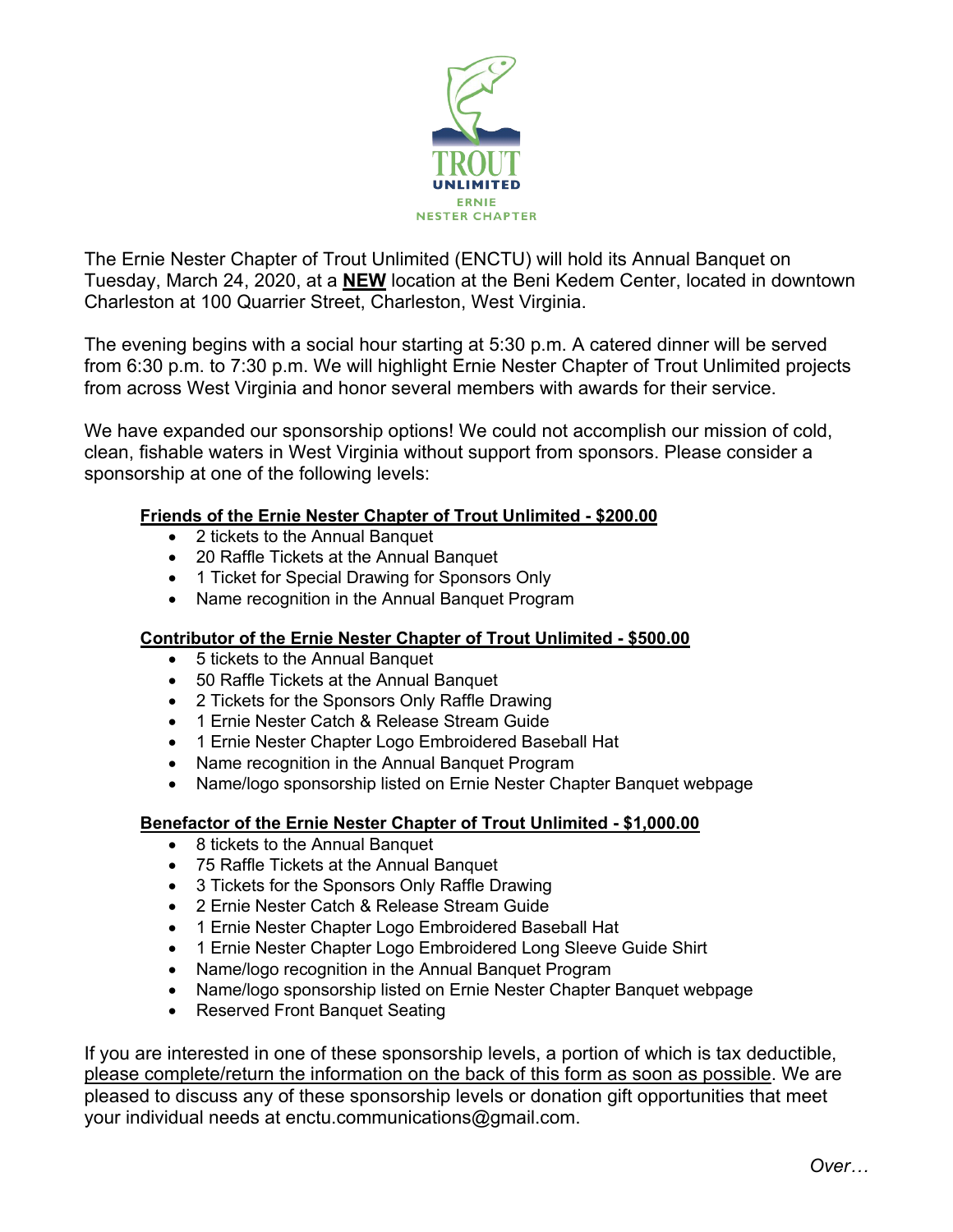

The Ernie Nester Chapter of Trout Unlimited (ENCTU) will hold its Annual Banquet on Tuesday, March 24, 2020, at a **NEW** location at the Beni Kedem Center, located in downtown Charleston at 100 Quarrier Street, Charleston, West Virginia.

The evening begins with a social hour starting at 5:30 p.m. A catered dinner will be served from 6:30 p.m. to 7:30 p.m. We will highlight Ernie Nester Chapter of Trout Unlimited projects from across West Virginia and honor several members with awards for their service.

We have expanded our sponsorship options! We could not accomplish our mission of cold, clean, fishable waters in West Virginia without support from sponsors. Please consider a sponsorship at one of the following levels:

## **Friends of the Ernie Nester Chapter of Trout Unlimited - \$200.00**

- 2 tickets to the Annual Banquet
- 20 Raffle Tickets at the Annual Banquet
- 1 Ticket for Special Drawing for Sponsors Only
- Name recognition in the Annual Banquet Program

### **Contributor of the Ernie Nester Chapter of Trout Unlimited - \$500.00**

- 5 tickets to the Annual Banquet
- 50 Raffle Tickets at the Annual Banquet
- 2 Tickets for the Sponsors Only Raffle Drawing
- 1 Ernie Nester Catch & Release Stream Guide
- 1 Ernie Nester Chapter Logo Embroidered Baseball Hat
- Name recognition in the Annual Banquet Program
- Name/logo sponsorship listed on Ernie Nester Chapter Banquet webpage

### **Benefactor of the Ernie Nester Chapter of Trout Unlimited - \$1,000.00**

- 8 tickets to the Annual Banquet
- 75 Raffle Tickets at the Annual Banquet
- 3 Tickets for the Sponsors Only Raffle Drawing
- 2 Ernie Nester Catch & Release Stream Guide
- 1 Ernie Nester Chapter Logo Embroidered Baseball Hat
- 1 Ernie Nester Chapter Logo Embroidered Long Sleeve Guide Shirt
- Name/logo recognition in the Annual Banquet Program
- Name/logo sponsorship listed on Ernie Nester Chapter Banquet webpage
- Reserved Front Banquet Seating

If you are interested in one of these sponsorship levels, a portion of which is tax deductible, please complete/return the information on the back of this form as soon as possible. We are pleased to discuss any of these sponsorship levels or donation gift opportunities that meet your individual needs at enctu.communications@gmail.com.